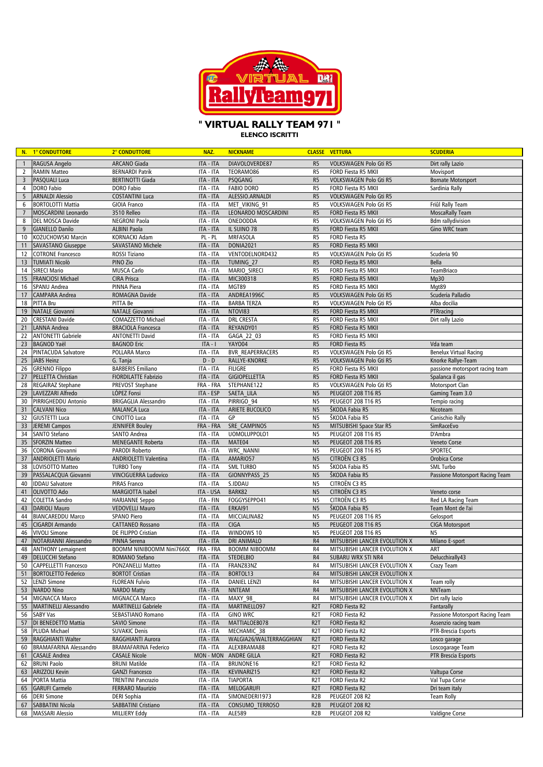

## **" VIRTUAL RALLY TEAM 971 "**

**ELENCO ISCRITTI**

|                | N. 1° CONDUTTORE                         | 2° CONDUTTORE                                | NAZ.                   | <b>NICKNAME</b>                     |                                  | <b>CLASSE VETTURA</b>                           | <b>SCUDERIA</b>                  |
|----------------|------------------------------------------|----------------------------------------------|------------------------|-------------------------------------|----------------------------------|-------------------------------------------------|----------------------------------|
| $\overline{1}$ | RAGUSA Angelo                            | ARCANO Giada                                 | <b>ITA - ITA</b>       | DIAVOLOVERDE87                      | R <sub>5</sub>                   | VOLKSWAGEN Polo Gti R5                          | Dirt rally Lazio                 |
| 2              | <b>RAMIN Matteo</b>                      | <b>BERNARDI Patrik</b>                       | ITA - ITA              | TEORAM086                           | R <sub>5</sub>                   | FORD Fiesta R5 MKII                             | Movisport                        |
| $\overline{3}$ | PASQUALI Luca                            | <b>BERTINOTTI Giada</b>                      | ITA - ITA              | PSQGANG                             | R <sub>5</sub>                   | VOLKSWAGEN Polo Gti R5                          | <b>Bornate Motorsport</b>        |
| 4              | DORO Fabio                               | <b>DORO</b> Fabio                            | ITA - ITA              | <b>FABIO DORO</b>                   | R <sub>5</sub>                   | FORD Fiesta R5 MKII                             | Sardinia Rally                   |
| 5              | <b>ARNALDI Alessio</b>                   | <b>COSTANTINI Luca</b>                       | ITA - ITA              | ALESSIO.ARNALDI                     | R <sub>5</sub>                   | VOLKSWAGEN Polo Gti R5                          |                                  |
| 6              | <b>BORTOLOTTI Mattia</b>                 | <b>GIOIA Franco</b>                          | ITA - ITA              | MET VIKING 91                       | R <sub>5</sub>                   | VOLKSWAGEN Polo Gti R5                          | Friûl Rally Team                 |
| $\overline{7}$ | MOSCARDINI Leonardo                      | 3510 Relleo                                  | <b>ITA - ITA</b>       | <b>LEONARDO MOSCARDINI</b>          | R <sub>5</sub>                   | FORD Fiesta R5 MKII                             | <b>MoscaRally Team</b>           |
| 8              | DEL MOSCA Davide                         | <b>NEGRONI Paola</b>                         | ITA - ITA              | ONEDODDA                            | R <sub>5</sub>                   | VOLKSWAGEN Polo Gti R5                          | <b>Bdm</b> rallydivision         |
| 9              | <b>GIANELLO Danilo</b>                   | <b>ALBINI Paola</b>                          | ITA - ITA              | IL SUINO 78                         | R <sub>5</sub>                   | FORD Fiesta R5 MKII                             | Gino WRC team                    |
| 10             | KOŻUCHOWSKI Marcin                       | KORNACKI Adam                                | PL - PL                | <b>MRFASOLA</b>                     | R <sub>5</sub>                   | FORD Fiesta R5                                  |                                  |
| 11             | <b>SAVASTANO Giuseppe</b>                | SAVASTANO Michele                            | ITA - ITA              | <b>DONIA2021</b>                    | R <sub>5</sub>                   | FORD Fiesta R5 MKII                             |                                  |
| 12             | <b>COTRONE Francesco</b>                 | ROSSI Tiziano                                | ITA - ITA              | VENTODELNORD432                     | R <sub>5</sub>                   | VOLKSWAGEN Polo Gti R5                          | Scuderia 90                      |
| 13             | <b>TUMIATI Nicolò</b>                    | PINO Zio                                     | ITA - ITA              | TUMING 27                           | R <sub>5</sub>                   | FORD Fiesta R5 MKII                             | <b>Bella</b>                     |
| 14             | <b>SIRECI Mario</b>                      | MUSCA Carlo                                  | ITA - ITA              | MARIO SIRECI                        | R <sub>5</sub>                   | FORD Fiesta R5 MKII                             | TeamBriaco                       |
| 15             | FRANCIOSI Michael                        | <b>CIRA Prisca</b>                           | ITA - ITA              | MIC300318                           | R <sub>5</sub>                   | FORD Fiesta R5 MKII                             | Mp30                             |
| 16             | SPANU Andrea                             | PINNA Piera                                  | ITA - ITA              | MGT89                               | R <sub>5</sub>                   | FORD Fiesta R5 MKII                             | Mgt89                            |
| 17             | <b>CAMPARA Andrea</b>                    | <b>ROMAGNA Davide</b>                        | ITA - ITA              | ANDREA1996C                         | R <sub>5</sub>                   | VOLKSWAGEN Polo Gti R5                          | Scuderia Palladio                |
| 18             | PITTA Bru                                | PITTA Be                                     | ITA - ITA              | <b>BARBA TERZA</b>                  | R <sub>5</sub>                   | VOLKSWAGEN Polo Gti R5                          | Alba docilia                     |
| 19             | <b>NATALE Giovanni</b>                   | <b>NATALE Giovanni</b>                       | ITA - ITA              | NTOVI83                             | R <sub>5</sub>                   | FORD Fiesta R5 MKII                             | PTRracing                        |
| 20             | <b>CRESTANI Davide</b>                   | COMAZZETTO Michael                           | ITA - ITA              | <b>DRL CRESTA</b>                   | R <sub>5</sub>                   | FORD Fiesta R5 MKII                             | Dirt rally Lazio                 |
| 21             | LANNA Andrea                             | <b>BRACIOLA Francesca</b>                    | ITA - ITA              | REYANDY01                           | R <sub>5</sub>                   | FORD Fiesta R5 MKII                             |                                  |
| 22             | <b>ANTONETTI Gabriele</b>                | <b>ANTONETTI David</b>                       | ITA - ITA              | GAGA 22 03                          | R <sub>5</sub>                   | FORD Fiesta R5 MKII                             |                                  |
| 23             | <b>BAGNOD Yaël</b>                       | <b>BAGNOD Eric</b>                           | $ITA - I$              | <b>YAY004</b>                       | R <sub>5</sub>                   | FORD Fiesta R5                                  | Vda team                         |
| 24             | PINTACUDA Salvatore                      | POLLARA Marco                                | ITA - ITA              | <b>BVR REAPERRACERS</b>             | R <sub>5</sub>                   | VOLKSWAGEN Polo Gti R5                          | <b>Benelux Virtual Racing</b>    |
| 25             | <b>JABS Heinz</b>                        | G. Tanja                                     | $D - D$                | RALLYE-KNORKE                       | R <sub>5</sub>                   | VOLKSWAGEN Polo Gti R5                          | Knorke Rallye-Team               |
| 26             | <b>GRENNO Filippo</b>                    | <b>BARBERIS Emiliano</b>                     | ITA - ITA              | <b>FILIGRE</b>                      | R <sub>5</sub>                   | FORD Fiesta R5 MKII                             | passione motorsport racing team  |
| 27<br>28       | PELLETTA Christian                       | FIORDILATTE Fabrizio                         | ITA - ITA              | <b>GIGIOPELLETTA</b><br>STEPHANE122 | R <sub>5</sub><br>R <sub>5</sub> | FORD Fiesta R5 MKII                             | Spalanca il gas                  |
| 29             | REGAIRAZ Stephane                        | PREVOST Stephane<br>LÓPEZ Fonsi              | FRA - FRA              | SAETA LILA                          |                                  | VOLKSWAGEN Polo Gti R5                          | Motorsport Clan                  |
| 30             | LAVEZZARI Alfredo<br>PIRRIGHEDDU Antonio | <b>BRIGAGLIA Alessandro</b>                  | ITA - ESP<br>ITA - ITA | PIRRIGO 94                          | N <sub>5</sub><br>N <sub>5</sub> | <b>PEUGEOT 208 T16 R5</b><br>PEUGEOT 208 T16 R5 | Gaming Team 3.0<br>Tempio racing |
| 31             | <b>CALVANI Nico</b>                      | <b>MALANCA Luca</b>                          | ITA - ITA              | ARIETE BUCOLICO                     | N <sub>5</sub>                   | ŠKODA Fabia R5                                  | Nicoteam                         |
| 32             | <b>GIUSTETTI Luca</b>                    | <b>CINOTTO Luca</b>                          | ITA - ITA              | GP                                  | N <sub>5</sub>                   | ŠKODA Fabia R5                                  | Canischio Rally                  |
| 33             | <b>JEREMI Campos</b>                     | JENNIFER Bouley                              | FRA - FRA              | SRE CAMPINOS                        | N <sub>5</sub>                   | MITSUBISHI Space Star R5                        | SimRaceEvo                       |
| 34             | SANTO Stefano                            | <b>SANTO Andrea</b>                          | ITA - ITA              | UOMOLUPPOLO1                        | N <sub>5</sub>                   | PEUGEOT 208 T16 R5                              | D'Ambra                          |
| 35             | <b>SFORZIN Matteo</b>                    | <b>MENEGANTE Roberta</b>                     | ITA - ITA              | MATE04                              | N <sub>5</sub>                   | <b>PEUGEOT 208 T16 R5</b>                       | <b>Veneto Corse</b>              |
| 36             | <b>CORONA Giovanni</b>                   | PARODI Roberto                               | ITA - ITA              | <b>WRC NANNI</b>                    | N <sub>5</sub>                   | PEUGEOT 208 T16 R5                              | SPORTEC                          |
| 37             | <b>ANDRIOLETTI Mario</b>                 | ANDRIOLETTI Valentina                        | ITA - ITA              | AMARIO57                            | N <sub>5</sub>                   | CITROËN C3 R5                                   | Orobica Corse                    |
| 38             | LOVISOTTO Matteo                         | <b>TURBO Tony</b>                            | ITA - ITA              | <b>SML TURBO</b>                    | N <sub>5</sub>                   | ŠKODA Fabia R5                                  | <b>SML Turbo</b>                 |
| 39             | PASSALACQUA Giovanni                     | VINCIGUERRA Ludovico                         | ITA - ITA              | GIONNYPASS 25                       | N <sub>5</sub>                   | ŠKODA Fabia R5                                  | Passione Motorsport Racing Team  |
| 40             | <b>IDDAU Salvatore</b>                   | PIRAS Franco                                 | ITA - ITA              | S.IDDAU                             | N <sub>5</sub>                   | CITROËN C3 R5                                   |                                  |
| 41             | OLIVOTTO Ado                             | MARGIOTTA Isabel                             | ITA - USA              | BARK82                              | N <sub>5</sub>                   | CITROËN C3 R5                                   | Veneto corse                     |
| 42             | <b>COLETTA Sandro</b>                    | <b>HARJANNE Seppo</b>                        | ITA - FIN              | FOGGYSEPPO41                        | N <sub>5</sub>                   | CITROËN C3 R5                                   | Red LA Racing Team               |
| 43             | <b>DARIOLI Mauro</b>                     | <b>VEDOVELLI Mauro</b>                       | ITA - ITA              | ERKAI91                             | N <sub>5</sub>                   | ŠKODA Fabia R5                                  | Team Mont de l'ai                |
| 44             | <b>BIANCAREDDU Marco</b>                 | SPANO Piero                                  | ITA - ITA              | MICCIALINA82                        | N <sub>5</sub>                   | PEUGEOT 208 T16 R5                              | Gelosport                        |
| 45             | CIGARDI Armando                          | <b>CATTANEO Rossano</b>                      | ITA - ITA              | <b>CIGA</b>                         | N <sub>5</sub>                   | <b>PEUGEOT 208 T16 R5</b>                       | <b>CIGA Motorsport</b>           |
| 46             | <b>VIVOLI Simone</b>                     | DE FILIPPO Cristian                          | ITA - ITA              | WINDOWS 10                          | N <sub>5</sub>                   | PEUGEOT 208 T16 R5                              | N <sub>5</sub>                   |
| 47             | NOTARIANNI Alessandro                    | PINNA Serena                                 | ITA - ITA              | <b>DRI ANIMALO</b>                  | R <sub>4</sub>                   | MITSUBISHI LANCER EVOLUTION X                   | Milano E-sport                   |
| 48             | <b>ANTHONY Lemaignent</b>                | BOOMM NINIBOOMM Nini76600                    | FRA - FRA              | <b>BOOMM NIBOOMM</b>                | R4                               | MITSUBISHI LANCER EVOLUTION X                   | ART                              |
| 49             | <b>DELUCCHI Stefano</b>                  | ROMANO Stefano                               | ITA - ITA              | <b>STEDELBIO</b>                    | $\mathsf{R}4$                    | SUBARU WRX STI NR4                              | Delucchirally43                  |
|                | 50 CAPPELLETTI Francesco                 | PONZANELLI Matteo                            | ITA - ITA              | FRANZ83NZ                           | R4                               | MITSUBISHI LANCER EVOLUTION X                   | Crazy Team                       |
| 51             | <b>BORTOLETTO Federico</b>               | <b>BORTOT Cristian</b>                       | ITA - ITA              | BORTOL13                            | R4                               | MITSUBISHI LANCER EVOLUTION X                   |                                  |
| 52             | <b>LENZI Simone</b>                      | <b>FLOREAN Fulvio</b>                        | ITA - ITA              | <b>DANIEL LENZI</b>                 | R4                               | MITSUBISHI LANCER EVOLUTION X                   | Team rolly                       |
| 53<br>54       | <b>NARDO Nino</b><br>MIGNACCA Marco      | <b>NARDO Matty</b>                           | ITA - ITA              | <b>NNTEAM</b><br>MAXY 98            | R4                               | MITSUBISHI LANCER EVOLUTION X                   | NNTeam<br>Dirt rally lazio       |
| 55             | <b>MARTINELLI Alessandro</b>             | MIGNACCA Marco<br><b>MARTINELLI Gabriele</b> | ITA - ITA<br>ITA - ITA | MARTINELLO97                        | R4<br>R <sub>2</sub> T           | MITSUBISHI LANCER EVOLUTION X<br>FORD Fiesta R2 | Fantarally                       |
| 56             | <b>SABY Vas</b>                          | SEBASTIANO Romano                            | ITA - ITA              | <b>GINO WRC</b>                     | R <sub>2</sub> T                 | FORD Fiesta R2                                  | Passione Motorsport Racing Team  |
| 57             | DI BENEDETTO Mattia                      | SAVIO Simone                                 | ITA - ITA              | MATTIALOEB078                       | R <sub>2</sub> T                 | FORD Fiesta R2                                  | Assenzio racing team             |
| 58             | PLUDA Michael                            | <b>SUVAKIC Denis</b>                         | ITA - ITA              | MECHAMIC 38                         | R <sub>2</sub> T                 | FORD Fiesta R2                                  | PTR-Brescia Esports              |
| 59             | RAGGHIANTI Walter                        | RAGGHIANTI Aurora                            | ITA - ITA              | WALGIA26/WALTERRAGGHIAN             | R <sub>2</sub> T                 | FORD Fiesta R2                                  | Losco garage                     |
| 60             | <b>BRAMAFARINA Alessandro</b>            | <b>BRAMAFARINA Federico</b>                  | ITA - ITA              | ALEXBRAMA88                         | R <sub>2</sub> T                 | FORD Fiesta R2                                  | Loscogarage Team                 |
| 61             | <b>CASALE Andrea</b>                     | <b>CASALE Nicole</b>                         |                        | MON - MON ANDRE GILLA               | R <sub>2</sub> T                 | FORD Fiesta R2                                  | PTR Brescia Esports              |
| 62             | <b>BRUNI Paolo</b>                       | <b>BRUNI Matilde</b>                         | ITA - ITA              | BRUNONE16                           | R <sub>2</sub> T                 | FORD Fiesta R2                                  |                                  |
| 63             | <b>ARIZZOLI Kevin</b>                    | <b>GANZI Francesco</b>                       | ITA - ITA              | KEVINARIZ15                         | R <sub>2</sub> T                 | FORD Fiesta R2                                  | Valtupa Corse                    |
| 64             | PORTA Mattia                             | <b>TRENTINI Pancrazio</b>                    | ITA - ITA              | <b>TIAPORTA</b>                     | R <sub>2</sub> T                 | FORD Fiesta R2                                  | Val Tupa Corse                   |
| 65             | <b>GARUFI Carmelo</b>                    | <b>FERRARO Maurizio</b>                      | ITA - ITA              | MELOGARUFI                          | R <sub>2</sub> T                 | FORD Fiesta R2                                  | Dri team italy                   |
| 66             | <b>DERI Simone</b>                       | DERI Sophia                                  | ITA - ITA              | SIMONEDERI1973                      | R <sub>2</sub> B                 | PEUGEOT 208 R2                                  | <b>Team Rolly</b>                |
| 67             | <b>SABBATINI Nicola</b>                  | <b>SABBATINI Cristiano</b>                   | ITA - ITA              | CONSUMO TERROSO                     | R <sub>2</sub> B                 | PEUGEOT 208 R2                                  |                                  |
| 68             | <b>MASSARI Alessio</b>                   | <b>MILLIERY Eddy</b>                         | ITA - ITA              | <b>ALE589</b>                       | R <sub>2</sub> B                 | PEUGEOT 208 R2                                  | Valdigne Corse                   |